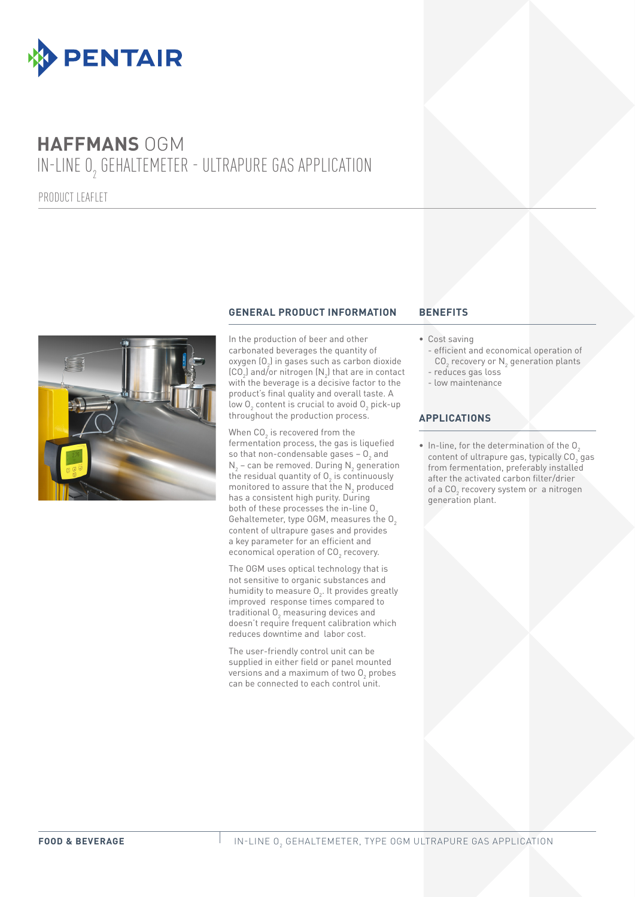

## **HAFFMANS** OGM IN-LINE  $0_{_2}$  GEHALTEMETER - ULTRAPURE GAS APPLICATION

PRODUCT LEAFLET



#### **GENERAL PRODUCT INFORMATION BENEFITS**

In the production of beer and other carbonated beverages the quantity of oxygen  $\{O_2\}$  in gases such as carbon dioxide  $\text{(CO}_2\text{)}$  and/or nitrogen  $\text{(N}_2\text{)}$  that are in contact with the beverage is a decisive factor to the product's final quality and overall taste. A low  ${\mathsf O}_2$  content is crucial to avoid  ${\mathsf O}_2$  pick-up throughout the production process.

When CO<sub>2</sub> is recovered from the fermentation process, the gas is liquefied so that non-condensable gases –  $O_2$  and  $N_{2}$  – can be removed. During  $N_{2}$  generation the residual quantity of  $O_2$  is continuously monitored to assure that the  $\mathsf{N}_2$  produced has a consistent high purity. During both of these processes the in-line O. Gehaltemeter, type OGM, measures the  $O<sub>2</sub>$ content of ultrapure gases and provides a key parameter for an efficient and economical operation of  $\mathtt{CO}_2$  recovery.

The OGM uses optical technology that is not sensitive to organic substances and humidity to measure  $O_2$ . It provides greatly improved response times compared to traditional  $0_{2}$  measuring devices and doesn't require frequent calibration which reduces downtime and labor cost.

The user-friendly control unit can be supplied in either field or panel mounted versions and a maximum of two  ${\mathsf O}_2$  probes can be connected to each control unit.

#### • Cost saving

- efficient and economical operation of CO $_2$  recovery or  $\mathsf{N}_2$  generation plants
- reduces gas loss
- low maintenance

#### **APPLICATIONS**

 $\bullet$  In-line, for the determination of the  $0\degree$ content of ultrapure gas, typically  $CO<sub>2</sub>$  gas from fermentation, preferably installed after the activated carbon filter/drier of a CO<sub>2</sub> recovery system or a nitrogen generation plant.